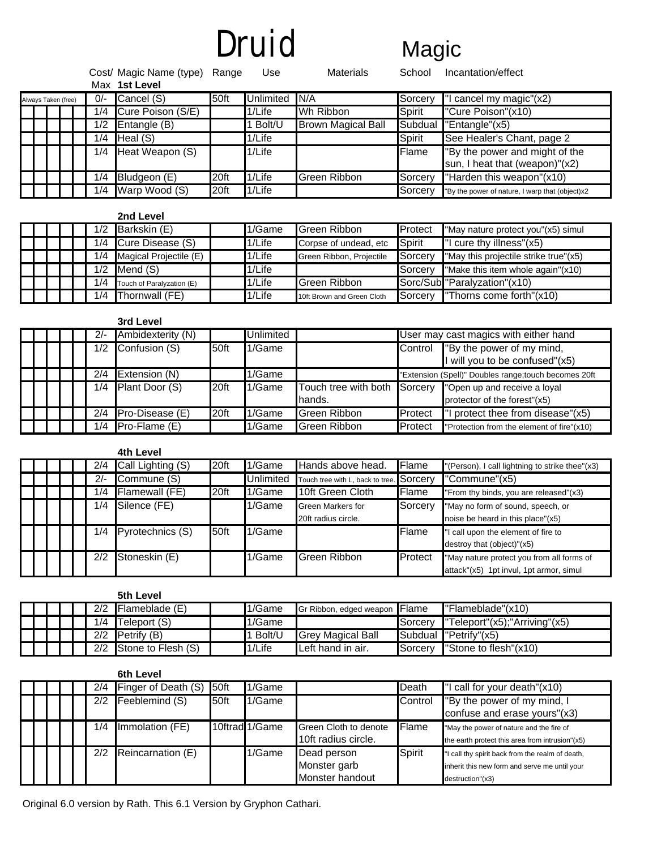# Druid Magic

|                     |  |       |            | Cost/ Magic Name (type) Range<br>Max 1st Level |           | Use       | Materials                 | School               | Incantation/effect                                               |
|---------------------|--|-------|------------|------------------------------------------------|-----------|-----------|---------------------------|----------------------|------------------------------------------------------------------|
| Always Taken (free) |  | $0/-$ | Cancel (S) | 50ft                                           | Unlimited | N/A       | Sorcery                   | cancel my magic"(x2) |                                                                  |
|                     |  |       | 1/4        | Cure Poison (S/E)                              |           | 1/Life    | Wh Ribbon                 | Spirit               | "Cure Poison"(x10)                                               |
|                     |  |       | 1/2        | Entangle (B)                                   |           | Bolt/U    | <b>Brown Magical Ball</b> |                      | Subdual "Entangle"(x5)                                           |
|                     |  |       | 1/4        | Head(S)                                        |           | $1/L$ ife |                           | <b>Spirit</b>        | See Healer's Chant, page 2                                       |
|                     |  |       | 1/4        | Heat Weapon (S)                                |           | $1/L$ ife |                           | Flame                | "By the power and might of the<br>sun, I heat that (weapon)"(x2) |
|                     |  |       | 1/4        | Bludgeon (E)                                   | 20ft      | 1/Life    | Green Ribbon              | Sorcery              | "Harden this weapon"(x10)                                        |
|                     |  |       | 1/4        | Warp Wood (S)                                  | 20ft      | 1/Life    |                           | Sorcery              | "By the power of nature, I warp that (object)x2                  |

#### **2nd Level**

|  |  | 1/2 | Barkskin (E)              | 1/Game    | Green Ribbon               | Protect        | "May nature protect you"(x5) simul    |
|--|--|-----|---------------------------|-----------|----------------------------|----------------|---------------------------------------|
|  |  | 1/4 | Cure Disease (S)          | $1/L$ ife | Corpse of undead, etc.     | Spirit         | $\blacksquare$ cure thy illness"(x5)  |
|  |  | 1/4 | Magical Projectile (E)    | $1/L$ ife | Green Ribbon, Projectile   | Sorcery        | "May this projectile strike true"(x5) |
|  |  | 1/2 | Mend $(S)$                | 1/Life    |                            | Sorcerv        | "Make this item whole again"(x10)     |
|  |  | 1/4 | Touch of Paralyzation (E) | 1/Life    | <b>Green Ribbon</b>        |                | Sorc/Sub "Paralyzation"(x10)          |
|  |  | 1/4 | Thornwall (FE)            | 1/Life    | 10ft Brown and Green Cloth | <b>Sorcerv</b> | <b>Thorns come forth</b> " $(x10)$    |

|  |  |     | 3rd Level         |      |           |                                |                                                                         |                                                      |  |  |
|--|--|-----|-------------------|------|-----------|--------------------------------|-------------------------------------------------------------------------|------------------------------------------------------|--|--|
|  |  | 2/- | Ambidexterity (N) |      | Unlimited |                                | User may cast magics with either hand                                   |                                                      |  |  |
|  |  | 1/2 | Confusion (S)     | 50ft | 1/Game    |                                | "By the power of my mind,<br>Control<br>will you to be confused"(x5)    |                                                      |  |  |
|  |  | 2/4 | Extension (N)     |      | 1/Game    |                                |                                                                         | "Extension (Spell)" Doubles range;touch becomes 20ft |  |  |
|  |  | 1/4 | Plant Door (S)    | 20ft | 1/Game    | Touch tree with both<br>hands. | Sorcery<br>"Open up and receive a loyal<br>protector of the forest"(x5) |                                                      |  |  |
|  |  | 2/4 | Pro-Disease (E)   | 20ft | 1/Game    | Green Ribbon                   | Protect                                                                 | I protect thee from disease"(x5)                     |  |  |
|  |  | 1/4 | $Pro-Flame(E)$    |      | 1/Game    | <b>Green Ribbon</b>            | Protect                                                                 | "Protection from the element of fire"(x10)           |  |  |

|  |  |       | 4th Level         |                  |           |                                  |                |                                                 |
|--|--|-------|-------------------|------------------|-----------|----------------------------------|----------------|-------------------------------------------------|
|  |  | 2/4   | Call Lighting (S) | 20ft             | 1/Game    | Hands above head.                | Flame          | "(Person), I call lightning to strike thee"(x3) |
|  |  | $2/-$ | Commune (S)       |                  | Unlimited | Touch tree with L, back to tree. | Rorcery⊾.      | "Commune"(x5)                                   |
|  |  | 1/4   | Flamewall (FE)    | 20 <sup>ft</sup> | 1/Game    | 10ft Green Cloth                 | Flame          | "From thy binds, you are released"(x3)          |
|  |  | 1/4   | Silence (FE)      |                  | 1/Game    | <b>Green Markers for</b>         | Sorcery        | "May no form of sound, speech, or               |
|  |  |       |                   |                  |           | 20ft radius circle.              |                | noise be heard in this place"(x5)               |
|  |  | 1/4   | Pyrotechnics (S)  | 50ft             | 1/Game    |                                  | Flame          | I call upon the element of fire to              |
|  |  |       |                   |                  |           |                                  |                | destroy that (object)"(x5)                      |
|  |  | 2/2   | Stoneskin (E)     |                  | 1/Game    | Green Ribbon                     | <b>Protect</b> | "May nature protect you from all forms of       |
|  |  |       |                   |                  |           |                                  |                | attack"(x5) 1pt invul, 1pt armor, simul         |

|  |  |     | 5th Level                     |        |                               |                  |                               |
|--|--|-----|-------------------------------|--------|-------------------------------|------------------|-------------------------------|
|  |  | 2/2 | $\blacksquare$ Flameblade (E) | 1/Game | Gr Ribbon, edged weapon Flame |                  | $l$ "Flameblade" $(x10)$      |
|  |  | 1/4 | <b>Teleport (S)</b>           | 1/Game |                               | Sorcerv          | "Teleport"(x5);"Arriving"(x5) |
|  |  | 2/2 | <b>Petrify</b> $(B)$          | Bolt/U | <b>Grey Magical Ball</b>      |                  | Subdual l"Petrify"(x5)        |
|  |  | 2/2 | Stone to Flesh (S)            | 1/Life | Left hand in air.             | <b>I</b> Sorcerv | "Stone to flesh"(x10)         |

#### **6th Level**

|  |  | 2/4 | Finger of Death (S)    | 50ft | 1/Game         |                                                | Death   | "I call for your death"(x10)                                                                                          |
|--|--|-----|------------------------|------|----------------|------------------------------------------------|---------|-----------------------------------------------------------------------------------------------------------------------|
|  |  | 2/2 | Feeblemind (S)         | 50ft | 1/Game         |                                                | Control | "By the power of my mind, I<br>confuse and erase yours"(x3)                                                           |
|  |  | 1/4 | <b>Immolation (FE)</b> |      | 10ftrad 1/Game | Green Cloth to denote<br>10ft radius circle.   | Flame   | "May the power of nature and the fire of<br>the earth protect this area from intrusion"(x5)                           |
|  |  | 2/2 | Reincarnation (E)      |      | 1/Game         | Dead person<br>Monster garb<br>Monster handout | Spirit  | "I call thy spirit back from the realm of death,<br>inherit this new form and serve me until your<br>destruction"(x3) |

Original 6.0 version by Rath. This 6.1 Version by Gryphon Cathari.